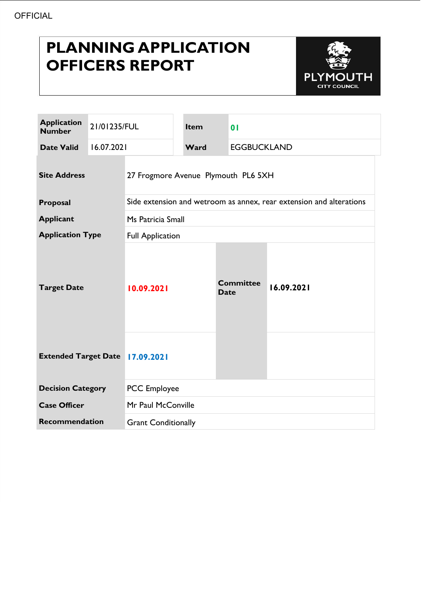# **PLANNING APPLICATION OFFICERS REPORT**



| <b>Application</b><br><b>Number</b>    | 21/01235/FUL |                                                                     | Item | $\overline{0}$                  |                    |  |
|----------------------------------------|--------------|---------------------------------------------------------------------|------|---------------------------------|--------------------|--|
| <b>Date Valid</b>                      | 16.07.2021   |                                                                     | Ward |                                 | <b>EGGBUCKLAND</b> |  |
| <b>Site Address</b>                    |              | 27 Frogmore Avenue Plymouth PL6 5XH                                 |      |                                 |                    |  |
| Proposal                               |              | Side extension and wetroom as annex, rear extension and alterations |      |                                 |                    |  |
| <b>Applicant</b>                       |              | Ms Patricia Small                                                   |      |                                 |                    |  |
| <b>Application Type</b>                |              | <b>Full Application</b>                                             |      |                                 |                    |  |
| <b>Target Date</b>                     |              | 10.09.2021                                                          |      | <b>Committee</b><br><b>Date</b> | 16.09.2021         |  |
| <b>Extended Target Date 17.09.2021</b> |              |                                                                     |      |                                 |                    |  |
| <b>Decision Category</b>               |              | <b>PCC</b> Employee                                                 |      |                                 |                    |  |
| <b>Case Officer</b>                    |              | Mr Paul McConville                                                  |      |                                 |                    |  |
| <b>Recommendation</b>                  |              | <b>Grant Conditionally</b>                                          |      |                                 |                    |  |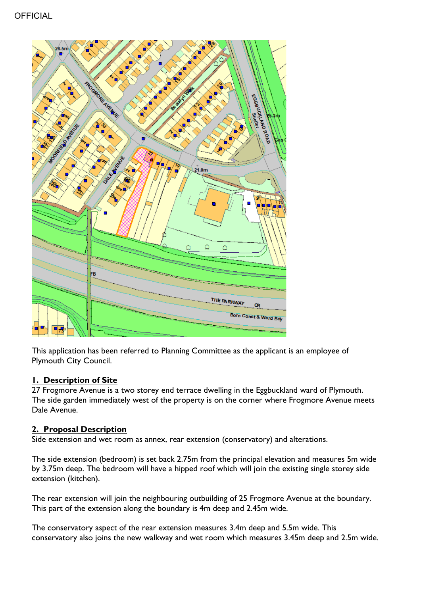

This application has been referred to Planning Committee as the applicant is an employee of Plymouth City Council.

## **1. Description of Site**

27 Frogmore Avenue is a two storey end terrace dwelling in the Eggbuckland ward of Plymouth. The side garden immediately west of the property is on the corner where Frogmore Avenue meets Dale Avenue.

# **2. Proposal Description**

Side extension and wet room as annex, rear extension (conservatory) and alterations.

The side extension (bedroom) is set back 2.75m from the principal elevation and measures 5m wide by 3.75m deep. The bedroom will have a hipped roof which will join the existing single storey side extension (kitchen).

The rear extension will join the neighbouring outbuilding of 25 Frogmore Avenue at the boundary. This part of the extension along the boundary is 4m deep and 2.45m wide.

The conservatory aspect of the rear extension measures 3.4m deep and 5.5m wide. This conservatory also joins the new walkway and wet room which measures 3.45m deep and 2.5m wide.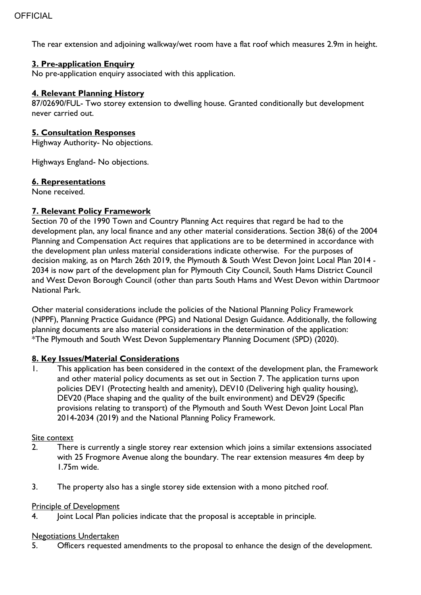The rear extension and adjoining walkway/wet room have a flat roof which measures 2.9m in height.

## **3. Pre-application Enquiry**

No pre-application enquiry associated with this application.

#### **4. Relevant Planning History**

87/02690/FUL- Two storey extension to dwelling house. Granted conditionally but development never carried out.

#### **5. Consultation Responses**

Highway Authority- No objections.

Highways England- No objections.

#### **6. Representations**

None received.

#### **7. Relevant Policy Framework**

Section 70 of the 1990 Town and Country Planning Act requires that regard be had to the development plan, any local finance and any other material considerations. Section 38(6) of the 2004 Planning and Compensation Act requires that applications are to be determined in accordance with the development plan unless material considerations indicate otherwise. For the purposes of decision making, as on March 26th 2019, the Plymouth & South West Devon Joint Local Plan 2014 - 2034 is now part of the development plan for Plymouth City Council, South Hams District Council and West Devon Borough Council (other than parts South Hams and West Devon within Dartmoor National Park.

Other material considerations include the policies of the National Planning Policy Framework (NPPF), Planning Practice Guidance (PPG) and National Design Guidance. Additionally, the following planning documents are also material considerations in the determination of the application: \*The Plymouth and South West Devon Supplementary Planning Document (SPD) (2020).

## **8. Key Issues/Material Considerations**

1. This application has been considered in the context of the development plan, the Framework and other material policy documents as set out in Section 7. The application turns upon policies DEV1 (Protecting health and amenity), DEV10 (Delivering high quality housing), DEV20 (Place shaping and the quality of the built environment) and DEV29 (Specific provisions relating to transport) of the Plymouth and South West Devon Joint Local Plan 2014-2034 (2019) and the National Planning Policy Framework.

#### Site context

- 2. There is currently a single storey rear extension which joins a similar extensions associated with 25 Frogmore Avenue along the boundary. The rear extension measures 4m deep by 1.75m wide.
- 3. The property also has a single storey side extension with a mono pitched roof.

#### **Principle of Development**

4. Joint Local Plan policies indicate that the proposal is acceptable in principle.

#### Negotiations Undertaken

5. Officers requested amendments to the proposal to enhance the design of the development.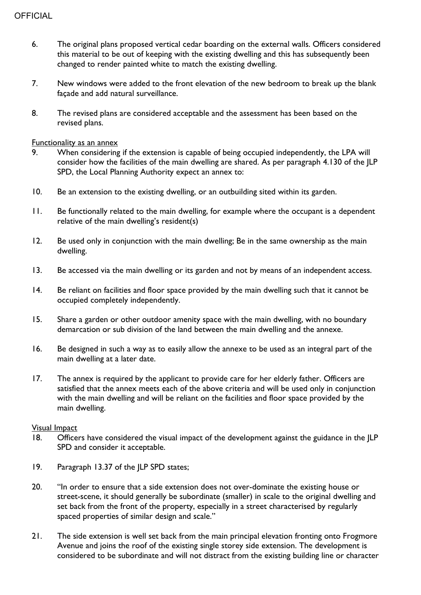- 6. The original plans proposed vertical cedar boarding on the external walls. Officers considered this material to be out of keeping with the existing dwelling and this has subsequently been changed to render painted white to match the existing dwelling.
- 7. New windows were added to the front elevation of the new bedroom to break up the blank façade and add natural surveillance.
- 8. The revised plans are considered acceptable and the assessment has been based on the revised plans.

#### Functionality as an annex

- 9. When considering if the extension is capable of being occupied independently, the LPA will consider how the facilities of the main dwelling are shared. As per paragraph 4.130 of the JLP SPD, the Local Planning Authority expect an annex to:
- 10. Be an extension to the existing dwelling, or an outbuilding sited within its garden.
- 11. Be functionally related to the main dwelling, for example where the occupant is a dependent relative of the main dwelling's resident(s)
- 12. Be used only in conjunction with the main dwelling; Be in the same ownership as the main dwelling.
- 13. Be accessed via the main dwelling or its garden and not by means of an independent access.
- 14. Be reliant on facilities and floor space provided by the main dwelling such that it cannot be occupied completely independently.
- 15. Share a garden or other outdoor amenity space with the main dwelling, with no boundary demarcation or sub division of the land between the main dwelling and the annexe.
- 16. Be designed in such a way as to easily allow the annexe to be used as an integral part of the main dwelling at a later date.
- 17. The annex is required by the applicant to provide care for her elderly father. Officers are satisfied that the annex meets each of the above criteria and will be used only in conjunction with the main dwelling and will be reliant on the facilities and floor space provided by the main dwelling.

#### Visual Impact

- 18. Officers have considered the visual impact of the development against the guidance in the JLP SPD and consider it acceptable.
- 19. Paragraph 13.37 of the JLP SPD states;
- 20. "In order to ensure that a side extension does not over-dominate the existing house or street-scene, it should generally be subordinate (smaller) in scale to the original dwelling and set back from the front of the property, especially in a street characterised by regularly spaced properties of similar design and scale."
- 21. The side extension is well set back from the main principal elevation fronting onto Frogmore Avenue and joins the roof of the existing single storey side extension. The development is considered to be subordinate and will not distract from the existing building line or character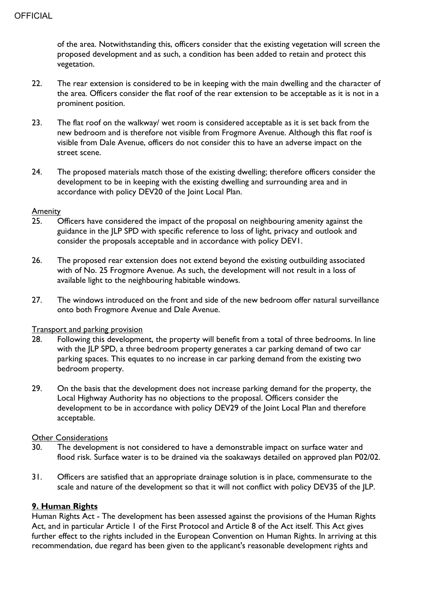of the area. Notwithstanding this, officers consider that the existing vegetation will screen the proposed development and as such, a condition has been added to retain and protect this vegetation.

- 22. The rear extension is considered to be in keeping with the main dwelling and the character of the area. Officers consider the flat roof of the rear extension to be acceptable as it is not in a prominent position.
- 23. The flat roof on the walkway/ wet room is considered acceptable as it is set back from the new bedroom and is therefore not visible from Frogmore Avenue. Although this flat roof is visible from Dale Avenue, officers do not consider this to have an adverse impact on the street scene.
- 24. The proposed materials match those of the existing dwelling; therefore officers consider the development to be in keeping with the existing dwelling and surrounding area and in accordance with policy DEV20 of the Joint Local Plan.

#### **Amenity**

- 25. Officers have considered the impact of the proposal on neighbouring amenity against the guidance in the JLP SPD with specific reference to loss of light, privacy and outlook and consider the proposals acceptable and in accordance with policy DEV1.
- 26. The proposed rear extension does not extend beyond the existing outbuilding associated with of No. 25 Frogmore Avenue. As such, the development will not result in a loss of available light to the neighbouring habitable windows.
- 27. The windows introduced on the front and side of the new bedroom offer natural surveillance onto both Frogmore Avenue and Dale Avenue.

## Transport and parking provision

- 28. Following this development, the property will benefit from a total of three bedrooms. In line with the JLP SPD, a three bedroom property generates a car parking demand of two car parking spaces. This equates to no increase in car parking demand from the existing two bedroom property.
- 29. On the basis that the development does not increase parking demand for the property, the Local Highway Authority has no objections to the proposal. Officers consider the development to be in accordance with policy DEV29 of the Joint Local Plan and therefore acceptable.

#### Other Considerations

- 30. The development is not considered to have a demonstrable impact on surface water and flood risk. Surface water is to be drained via the soakaways detailed on approved plan P02/02.
- 31. Officers are satisfied that an appropriate drainage solution is in place, commensurate to the scale and nature of the development so that it will not conflict with policy DEV35 of the JLP.

## **9. Human Rights**

Human Rights Act - The development has been assessed against the provisions of the Human Rights Act, and in particular Article 1 of the First Protocol and Article 8 of the Act itself. This Act gives further effect to the rights included in the European Convention on Human Rights. In arriving at this recommendation, due regard has been given to the applicant's reasonable development rights and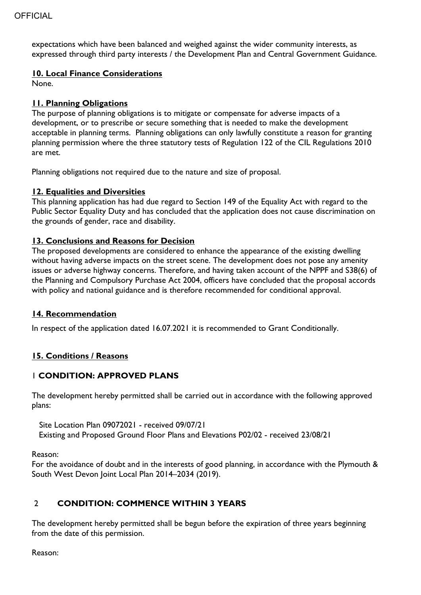expectations which have been balanced and weighed against the wider community interests, as expressed through third party interests / the Development Plan and Central Government Guidance.

## **10. Local Finance Considerations**

None.

# **11. Planning Obligations**

The purpose of planning obligations is to mitigate or compensate for adverse impacts of a development, or to prescribe or secure something that is needed to make the development acceptable in planning terms. Planning obligations can only lawfully constitute a reason for granting planning permission where the three statutory tests of Regulation 122 of the CIL Regulations 2010 are met.

Planning obligations not required due to the nature and size of proposal.

# **12. Equalities and Diversities**

This planning application has had due regard to Section 149 of the Equality Act with regard to the Public Sector Equality Duty and has concluded that the application does not cause discrimination on the grounds of gender, race and disability.

## **13. Conclusions and Reasons for Decision**

The proposed developments are considered to enhance the appearance of the existing dwelling without having adverse impacts on the street scene. The development does not pose any amenity issues or adverse highway concerns. Therefore, and having taken account of the NPPF and S38(6) of the Planning and Compulsory Purchase Act 2004, officers have concluded that the proposal accords with policy and national guidance and is therefore recommended for conditional approval.

## **14. Recommendation**

In respect of the application dated 16.07.2021 it is recommended to Grant Conditionally.

## **15. Conditions / Reasons**

# 1 **CONDITION: APPROVED PLANS**

The development hereby permitted shall be carried out in accordance with the following approved plans:

Site Location Plan 09072021 - received 09/07/21 Existing and Proposed Ground Floor Plans and Elevations P02/02 - received 23/08/21

Reason:

For the avoidance of doubt and in the interests of good planning, in accordance with the Plymouth & South West Devon Joint Local Plan 2014–2034 (2019).

# 2 **CONDITION: COMMENCE WITHIN 3 YEARS**

The development hereby permitted shall be begun before the expiration of three years beginning from the date of this permission.

Reason: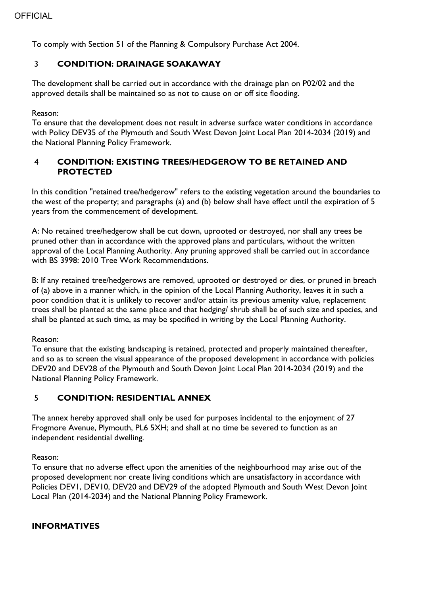To comply with Section 51 of the Planning & Compulsory Purchase Act 2004.

# 3 **CONDITION: DRAINAGE SOAKAWAY**

The development shall be carried out in accordance with the drainage plan on P02/02 and the approved details shall be maintained so as not to cause on or off site flooding.

## Reason:

To ensure that the development does not result in adverse surface water conditions in accordance with Policy DEV35 of the Plymouth and South West Devon Joint Local Plan 2014-2034 (2019) and the National Planning Policy Framework.

# 4 **CONDITION: EXISTING TREES/HEDGEROW TO BE RETAINED AND PROTECTED**

In this condition "retained tree/hedgerow" refers to the existing vegetation around the boundaries to the west of the property; and paragraphs (a) and (b) below shall have effect until the expiration of 5 years from the commencement of development.

A: No retained tree/hedgerow shall be cut down, uprooted or destroyed, nor shall any trees be pruned other than in accordance with the approved plans and particulars, without the written approval of the Local Planning Authority. Any pruning approved shall be carried out in accordance with BS 3998: 2010 Tree Work Recommendations.

B: If any retained tree/hedgerows are removed, uprooted or destroyed or dies, or pruned in breach of (a) above in a manner which, in the opinion of the Local Planning Authority, leaves it in such a poor condition that it is unlikely to recover and/or attain its previous amenity value, replacement trees shall be planted at the same place and that hedging/ shrub shall be of such size and species, and shall be planted at such time, as may be specified in writing by the Local Planning Authority.

## Reason:

To ensure that the existing landscaping is retained, protected and properly maintained thereafter, and so as to screen the visual appearance of the proposed development in accordance with policies DEV20 and DEV28 of the Plymouth and South Devon Joint Local Plan 2014-2034 (2019) and the National Planning Policy Framework.

# 5 **CONDITION: RESIDENTIAL ANNEX**

The annex hereby approved shall only be used for purposes incidental to the enjoyment of 27 Frogmore Avenue, Plymouth, PL6 5XH; and shall at no time be severed to function as an independent residential dwelling.

Reason:

To ensure that no adverse effect upon the amenities of the neighbourhood may arise out of the proposed development nor create living conditions which are unsatisfactory in accordance with Policies DEV1, DEV10, DEV20 and DEV29 of the adopted Plymouth and South West Devon Joint Local Plan (2014-2034) and the National Planning Policy Framework.

## **INFORMATIVES**